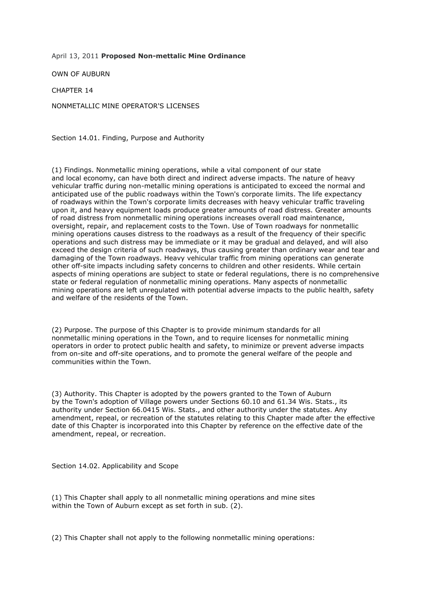April 13, 2011 **Proposed Non-mettalic Mine Ordinance**

OWN OF AUBURN

CHAPTER 14

NONMETALLIC MINE OPERATOR'S LICENSES

Section 14.01. Finding, Purpose and Authority

(1) Findings. Nonmetallic mining operations, while a vital component of our state and local economy, can have both direct and indirect adverse impacts. The nature of heavy vehicular traffic during non-metallic mining operations is anticipated to exceed the normal and anticipated use of the public roadways within the Town's corporate limits. The life expectancy of roadways within the Town's corporate limits decreases with heavy vehicular traffic traveling upon it, and heavy equipment loads produce greater amounts of road distress. Greater amounts of road distress from nonmetallic mining operations increases overall road maintenance, oversight, repair, and replacement costs to the Town. Use of Town roadways for nonmetallic mining operations causes distress to the roadways as a result of the frequency of their specific operations and such distress may be immediate or it may be gradual and delayed, and will also exceed the design criteria of such roadways, thus causing greater than ordinary wear and tear and damaging of the Town roadways. Heavy vehicular traffic from mining operations can generate other off-site impacts including safety concerns to children and other residents. While certain aspects of mining operations are subject to state or federal regulations, there is no comprehensive state or federal regulation of nonmetallic mining operations. Many aspects of nonmetallic mining operations are left unregulated with potential adverse impacts to the public health, safety and welfare of the residents of the Town.

(2) Purpose. The purpose of this Chapter is to provide minimum standards for all nonmetallic mining operations in the Town, and to require licenses for nonmetallic mining operators in order to protect public health and safety, to minimize or prevent adverse impacts from on-site and off-site operations, and to promote the general welfare of the people and communities within the Town.

(3) Authority. This Chapter is adopted by the powers granted to the Town of Auburn by the Town's adoption of Village powers under Sections 60.10 and 61.34 Wis. Stats., its authority under Section 66.0415 Wis. Stats., and other authority under the statutes. Any amendment, repeal, or recreation of the statutes relating to this Chapter made after the effective date of this Chapter is incorporated into this Chapter by reference on the effective date of the amendment, repeal, or recreation.

Section 14.02. Applicability and Scope

(1) This Chapter shall apply to all nonmetallic mining operations and mine sites within the Town of Auburn except as set forth in sub. (2).

(2) This Chapter shall not apply to the following nonmetallic mining operations: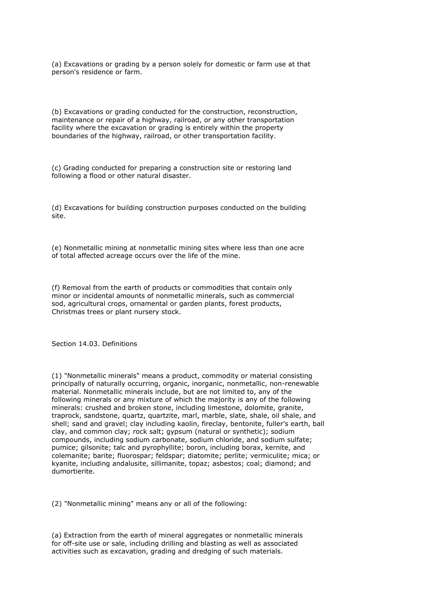(a) Excavations or grading by a person solely for domestic or farm use at that person's residence or farm.

(b) Excavations or grading conducted for the construction, reconstruction, maintenance or repair of a highway, railroad, or any other transportation facility where the excavation or grading is entirely within the property boundaries of the highway, railroad, or other transportation facility.

(c) Grading conducted for preparing a construction site or restoring land following a flood or other natural disaster.

(d) Excavations for building construction purposes conducted on the building site.

(e) Nonmetallic mining at nonmetallic mining sites where less than one acre of total affected acreage occurs over the life of the mine.

(f) Removal from the earth of products or commodities that contain only minor or incidental amounts of nonmetallic minerals, such as commercial sod, agricultural crops, ornamental or garden plants, forest products, Christmas trees or plant nursery stock.

Section 14.03. Definitions

(1) "Nonmetallic minerals" means a product, commodity or material consisting principally of naturally occurring, organic, inorganic, nonmetallic, non-renewable material. Nonmetallic minerals include, but are not limited to, any of the following minerals or any mixture of which the majority is any of the following minerals: crushed and broken stone, including limestone, dolomite, granite, traprock, sandstone, quartz, quartzite, marl, marble, slate, shale, oil shale, and shell; sand and gravel; clay including kaolin, fireclay, bentonite, fuller's earth, ball clay, and common clay; rock salt; gypsum (natural or synthetic); sodium compounds, including sodium carbonate, sodium chloride, and sodium sulfate; pumice; gilsonite; talc and pyrophyllite; boron, including borax, kernite, and colemanite; barite; fluorospar; feldspar; diatomite; perlite; vermiculite; mica; or kyanite, including andalusite, sillimanite, topaz; asbestos; coal; diamond; and dumortierite.

(2) "Nonmetallic mining" means any or all of the following:

(a) Extraction from the earth of mineral aggregates or nonmetallic minerals for off-site use or sale, including drilling and blasting as well as associated activities such as excavation, grading and dredging of such materials.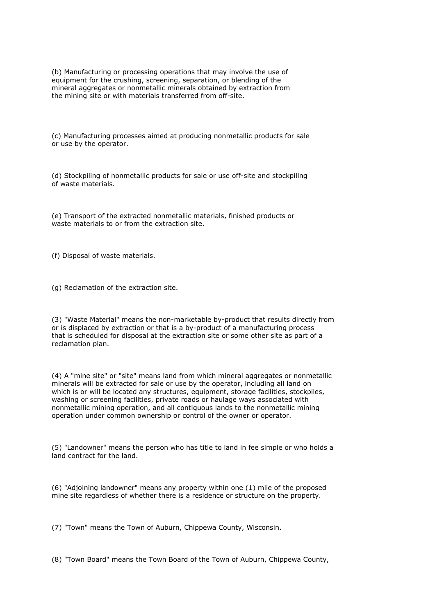(b) Manufacturing or processing operations that may involve the use of equipment for the crushing, screening, separation, or blending of the mineral aggregates or nonmetallic minerals obtained by extraction from the mining site or with materials transferred from off-site.

(c) Manufacturing processes aimed at producing nonmetallic products for sale or use by the operator.

(d) Stockpiling of nonmetallic products for sale or use off-site and stockpiling of waste materials.

(e) Transport of the extracted nonmetallic materials, finished products or waste materials to or from the extraction site.

(f) Disposal of waste materials.

(g) Reclamation of the extraction site.

(3) "Waste Material" means the non-marketable by-product that results directly from or is displaced by extraction or that is a by-product of a manufacturing process that is scheduled for disposal at the extraction site or some other site as part of a reclamation plan.

(4) A "mine site" or "site" means land from which mineral aggregates or nonmetallic minerals will be extracted for sale or use by the operator, including all land on which is or will be located any structures, equipment, storage facilities, stockpiles, washing or screening facilities, private roads or haulage ways associated with nonmetallic mining operation, and all contiguous lands to the nonmetallic mining operation under common ownership or control of the owner or operator.

(5) "Landowner" means the person who has title to land in fee simple or who holds a land contract for the land.

(6) "Adjoining landowner" means any property within one (1) mile of the proposed mine site regardless of whether there is a residence or structure on the property.

(7) "Town" means the Town of Auburn, Chippewa County, Wisconsin.

(8) "Town Board" means the Town Board of the Town of Auburn, Chippewa County,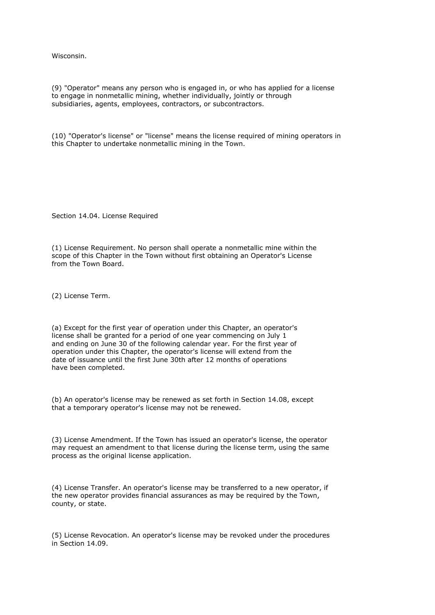Wisconsin.

(9) "Operator" means any person who is engaged in, or who has applied for a license to engage in nonmetallic mining, whether individually, jointly or through subsidiaries, agents, employees, contractors, or subcontractors.

(10) "Operator's license" or "license" means the license required of mining operators in this Chapter to undertake nonmetallic mining in the Town.

Section 14.04. License Required

(1) License Requirement. No person shall operate a nonmetallic mine within the scope of this Chapter in the Town without first obtaining an Operator's License from the Town Board.

(2) License Term.

(a) Except for the first year of operation under this Chapter, an operator's license shall be granted for a period of one year commencing on July 1 and ending on June 30 of the following calendar year. For the first year of operation under this Chapter, the operator's license will extend from the date of issuance until the first June 30th after 12 months of operations have been completed.

(b) An operator's license may be renewed as set forth in Section 14.08, except that a temporary operator's license may not be renewed.

(3) License Amendment. If the Town has issued an operator's license, the operator may request an amendment to that license during the license term, using the same process as the original license application.

(4) License Transfer. An operator's license may be transferred to a new operator, if the new operator provides financial assurances as may be required by the Town, county, or state.

(5) License Revocation. An operator's license may be revoked under the procedures in Section 14.09.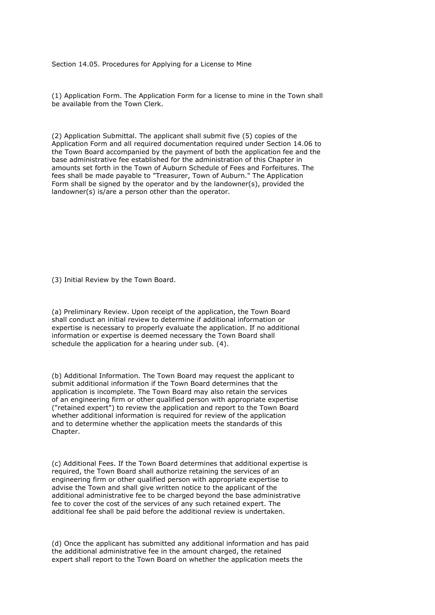Section 14.05. Procedures for Applying for a License to Mine

(1) Application Form. The Application Form for a license to mine in the Town shall be available from the Town Clerk.

(2) Application Submittal. The applicant shall submit five (5) copies of the Application Form and all required documentation required under Section 14.06 to the Town Board accompanied by the payment of both the application fee and the base administrative fee established for the administration of this Chapter in amounts set forth in the Town of Auburn Schedule of Fees and Forfeitures. The fees shall be made payable to "Treasurer, Town of Auburn." The Application Form shall be signed by the operator and by the landowner(s), provided the landowner(s) is/are a person other than the operator.

(3) Initial Review by the Town Board.

(a) Preliminary Review. Upon receipt of the application, the Town Board shall conduct an initial review to determine if additional information or expertise is necessary to properly evaluate the application. If no additional information or expertise is deemed necessary the Town Board shall schedule the application for a hearing under sub. (4).

(b) Additional Information. The Town Board may request the applicant to submit additional information if the Town Board determines that the application is incomplete. The Town Board may also retain the services of an engineering firm or other qualified person with appropriate expertise ("retained expert") to review the application and report to the Town Board whether additional information is required for review of the application and to determine whether the application meets the standards of this Chapter.

(c) Additional Fees. If the Town Board determines that additional expertise is required, the Town Board shall authorize retaining the services of an engineering firm or other qualified person with appropriate expertise to advise the Town and shall give written notice to the applicant of the additional administrative fee to be charged beyond the base administrative fee to cover the cost of the services of any such retained expert. The additional fee shall be paid before the additional review is undertaken.

(d) Once the applicant has submitted any additional information and has paid the additional administrative fee in the amount charged, the retained expert shall report to the Town Board on whether the application meets the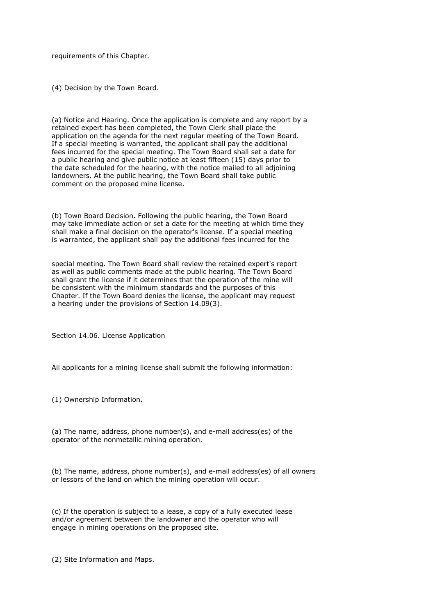requirements of this Chapter.

(4) Decision by the Town Board.

(a) Notice and Hearing. Once the application is complete and any report by a retained expert has been completed, the Town Clerk shall place the application on the agenda for the next regular meeting of the Town Board. If a special meeting is warranted, the applicant shall pay the additional fees incurred for the special meeting. The Town Board shall set a date for a public hearing and give public notice at least fifteen (15) days prior to the date scheduled for the hearing, with the notice mailed to all adjoining landowners. At the public hearing, the Town Board shall take public comment on the proposed mine license.

(b) Town Board Decision. Following the public hearing, the Town Board may take immediate action or set a date for the meeting at which time they shall make a final decision on the operator's license. If a special meeting is warranted, the applicant shall pay the additional fees incurred for the

special meeting. The Town Board shall review the retained expert's report as well as public comments made at the public hearing. The Town Board shall grant the license if it determines that the operation of the mine will be consistent with the minimum standards and the purposes of this Chapter. If the Town Board denies the license, the applicant may request a hearing under the provisions of Section 14.09(3).

Section 14.06. License Application

All applicants for a mining license shall submit the following information:

(1) Ownership Information.

(a) The name, address, phone number(s), and e-mail address(es) of the operator of the nonmetallic mining operation.

(b) The name, address, phone number(s), and e-mail address(es) of all owners or lessors of the land on which the mining operation will occur.

(c) If the operation is subject to a lease, a copy of a fully executed lease and/or agreement between the landowner and the operator who will engage in mining operations on the proposed site.

(2) Site Information and Maps.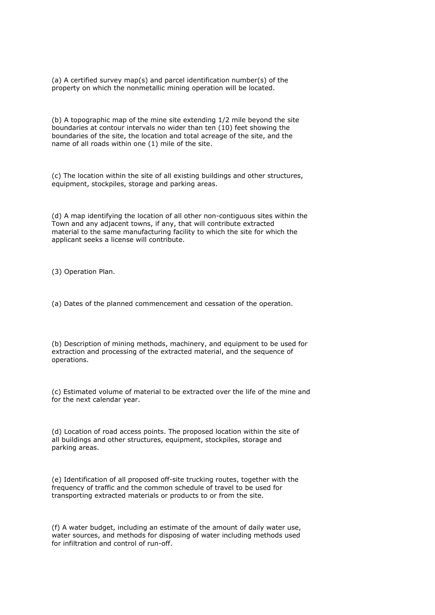(a) A certified survey map(s) and parcel identification number(s) of the property on which the nonmetallic mining operation will be located.

(b) A topographic map of the mine site extending 1/2 mile beyond the site boundaries at contour intervals no wider than ten (10) feet showing the boundaries of the site, the location and total acreage of the site, and the name of all roads within one (1) mile of the site.

(c) The location within the site of all existing buildings and other structures, equipment, stockpiles, storage and parking areas.

(d) A map identifying the location of all other non-contiguous sites within the Town and any adjacent towns, if any, that will contribute extracted material to the same manufacturing facility to which the site for which the applicant seeks a license will contribute.

(3) Operation Plan.

(a) Dates of the planned commencement and cessation of the operation.

(b) Description of mining methods, machinery, and equipment to be used for extraction and processing of the extracted material, and the sequence of operations.

(c) Estimated volume of material to be extracted over the life of the mine and for the next calendar year.

(d) Location of road access points. The proposed location within the site of all buildings and other structures, equipment, stockpiles, storage and parking areas.

(e) Identification of all proposed off-site trucking routes, together with the frequency of traffic and the common schedule of travel to be used for transporting extracted materials or products to or from the site.

(f) A water budget, including an estimate of the amount of daily water use, water sources, and methods for disposing of water including methods used for infiltration and control of run-off.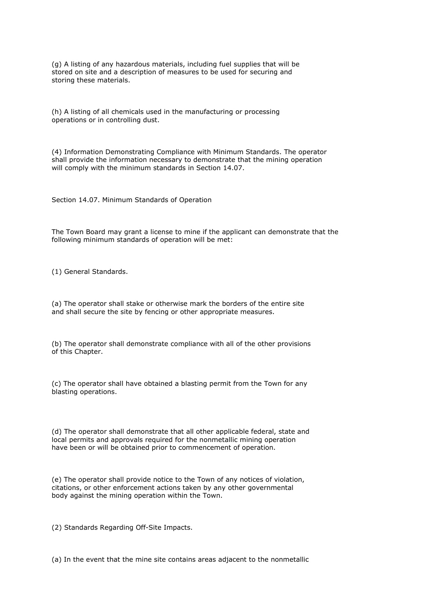(g) A listing of any hazardous materials, including fuel supplies that will be stored on site and a description of measures to be used for securing and storing these materials.

(h) A listing of all chemicals used in the manufacturing or processing operations or in controlling dust.

(4) Information Demonstrating Compliance with Minimum Standards. The operator shall provide the information necessary to demonstrate that the mining operation will comply with the minimum standards in Section 14.07.

Section 14.07. Minimum Standards of Operation

The Town Board may grant a license to mine if the applicant can demonstrate that the following minimum standards of operation will be met:

(1) General Standards.

(a) The operator shall stake or otherwise mark the borders of the entire site and shall secure the site by fencing or other appropriate measures.

(b) The operator shall demonstrate compliance with all of the other provisions of this Chapter.

(c) The operator shall have obtained a blasting permit from the Town for any blasting operations.

(d) The operator shall demonstrate that all other applicable federal, state and local permits and approvals required for the nonmetallic mining operation have been or will be obtained prior to commencement of operation.

(e) The operator shall provide notice to the Town of any notices of violation, citations, or other enforcement actions taken by any other governmental body against the mining operation within the Town.

(2) Standards Regarding Off-Site Impacts.

(a) In the event that the mine site contains areas adjacent to the nonmetallic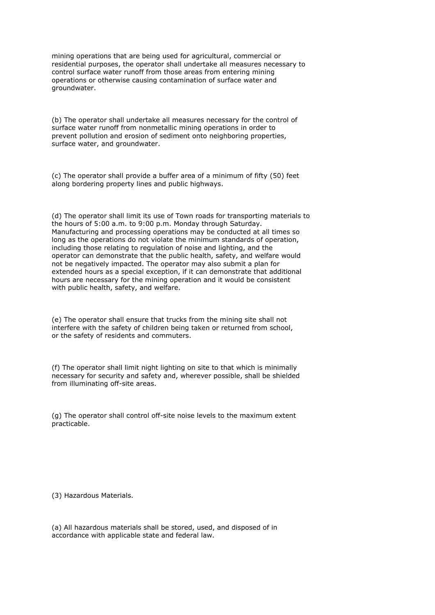mining operations that are being used for agricultural, commercial or residential purposes, the operator shall undertake all measures necessary to control surface water runoff from those areas from entering mining operations or otherwise causing contamination of surface water and groundwater.

(b) The operator shall undertake all measures necessary for the control of surface water runoff from nonmetallic mining operations in order to prevent pollution and erosion of sediment onto neighboring properties, surface water, and groundwater.

(c) The operator shall provide a buffer area of a minimum of fifty (50) feet along bordering property lines and public highways.

(d) The operator shall limit its use of Town roads for transporting materials to the hours of 5:00 a.m. to 9:00 p.m. Monday through Saturday. Manufacturing and processing operations may be conducted at all times so long as the operations do not violate the minimum standards of operation, including those relating to regulation of noise and lighting, and the operator can demonstrate that the public health, safety, and welfare would not be negatively impacted. The operator may also submit a plan for extended hours as a special exception, if it can demonstrate that additional hours are necessary for the mining operation and it would be consistent with public health, safety, and welfare.

(e) The operator shall ensure that trucks from the mining site shall not interfere with the safety of children being taken or returned from school, or the safety of residents and commuters.

(f) The operator shall limit night lighting on site to that which is minimally necessary for security and safety and, wherever possible, shall be shielded from illuminating off-site areas.

(g) The operator shall control off-site noise levels to the maximum extent practicable.

(3) Hazardous Materials.

(a) All hazardous materials shall be stored, used, and disposed of in accordance with applicable state and federal law.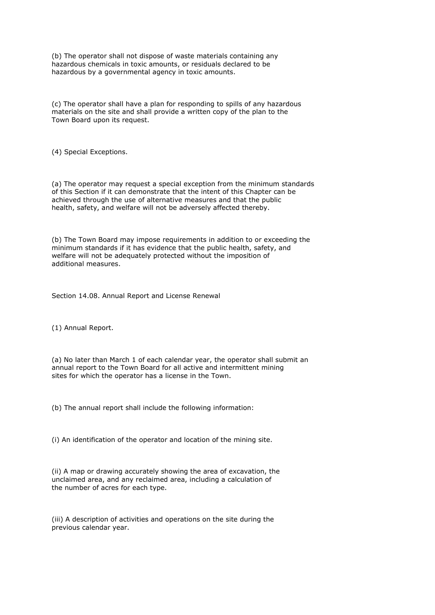(b) The operator shall not dispose of waste materials containing any hazardous chemicals in toxic amounts, or residuals declared to be hazardous by a governmental agency in toxic amounts.

(c) The operator shall have a plan for responding to spills of any hazardous materials on the site and shall provide a written copy of the plan to the Town Board upon its request.

(4) Special Exceptions.

(a) The operator may request a special exception from the minimum standards of this Section if it can demonstrate that the intent of this Chapter can be achieved through the use of alternative measures and that the public health, safety, and welfare will not be adversely affected thereby.

(b) The Town Board may impose requirements in addition to or exceeding the minimum standards if it has evidence that the public health, safety, and welfare will not be adequately protected without the imposition of additional measures.

Section 14.08. Annual Report and License Renewal

(1) Annual Report.

(a) No later than March 1 of each calendar year, the operator shall submit an annual report to the Town Board for all active and intermittent mining sites for which the operator has a license in the Town.

(b) The annual report shall include the following information:

(i) An identification of the operator and location of the mining site.

(ii) A map or drawing accurately showing the area of excavation, the unclaimed area, and any reclaimed area, including a calculation of the number of acres for each type.

(iii) A description of activities and operations on the site during the previous calendar year.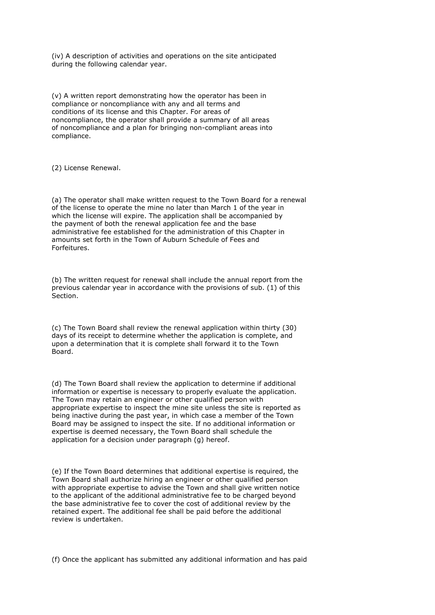(iv) A description of activities and operations on the site anticipated during the following calendar year.

(v) A written report demonstrating how the operator has been in compliance or noncompliance with any and all terms and conditions of its license and this Chapter. For areas of noncompliance, the operator shall provide a summary of all areas of noncompliance and a plan for bringing non-compliant areas into compliance.

(2) License Renewal.

(a) The operator shall make written request to the Town Board for a renewal of the license to operate the mine no later than March 1 of the year in which the license will expire. The application shall be accompanied by the payment of both the renewal application fee and the base administrative fee established for the administration of this Chapter in amounts set forth in the Town of Auburn Schedule of Fees and Forfeitures.

(b) The written request for renewal shall include the annual report from the previous calendar year in accordance with the provisions of sub. (1) of this Section.

(c) The Town Board shall review the renewal application within thirty (30) days of its receipt to determine whether the application is complete, and upon a determination that it is complete shall forward it to the Town Board.

(d) The Town Board shall review the application to determine if additional information or expertise is necessary to properly evaluate the application. The Town may retain an engineer or other qualified person with appropriate expertise to inspect the mine site unless the site is reported as being inactive during the past year, in which case a member of the Town Board may be assigned to inspect the site. If no additional information or expertise is deemed necessary, the Town Board shall schedule the application for a decision under paragraph (g) hereof.

(e) If the Town Board determines that additional expertise is required, the Town Board shall authorize hiring an engineer or other qualified person with appropriate expertise to advise the Town and shall give written notice to the applicant of the additional administrative fee to be charged beyond the base administrative fee to cover the cost of additional review by the retained expert. The additional fee shall be paid before the additional review is undertaken.

(f) Once the applicant has submitted any additional information and has paid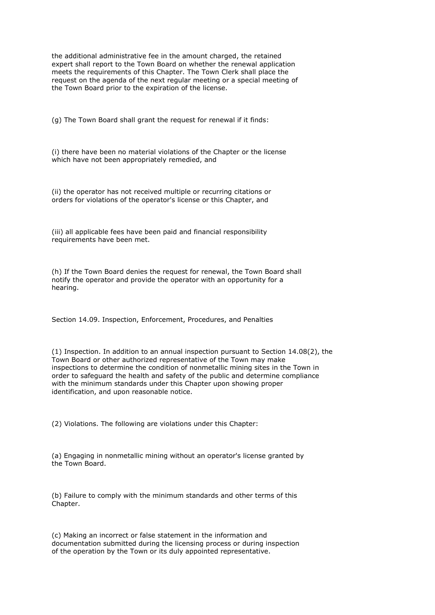the additional administrative fee in the amount charged, the retained expert shall report to the Town Board on whether the renewal application meets the requirements of this Chapter. The Town Clerk shall place the request on the agenda of the next regular meeting or a special meeting of the Town Board prior to the expiration of the license.

(g) The Town Board shall grant the request for renewal if it finds:

(i) there have been no material violations of the Chapter or the license which have not been appropriately remedied, and

(ii) the operator has not received multiple or recurring citations or orders for violations of the operator's license or this Chapter, and

(iii) all applicable fees have been paid and financial responsibility requirements have been met.

(h) If the Town Board denies the request for renewal, the Town Board shall notify the operator and provide the operator with an opportunity for a hearing.

Section 14.09. Inspection, Enforcement, Procedures, and Penalties

(1) Inspection. In addition to an annual inspection pursuant to Section 14.08(2), the Town Board or other authorized representative of the Town may make inspections to determine the condition of nonmetallic mining sites in the Town in order to safeguard the health and safety of the public and determine compliance with the minimum standards under this Chapter upon showing proper identification, and upon reasonable notice.

(2) Violations. The following are violations under this Chapter:

(a) Engaging in nonmetallic mining without an operator's license granted by the Town Board.

(b) Failure to comply with the minimum standards and other terms of this Chapter.

(c) Making an incorrect or false statement in the information and documentation submitted during the licensing process or during inspection of the operation by the Town or its duly appointed representative.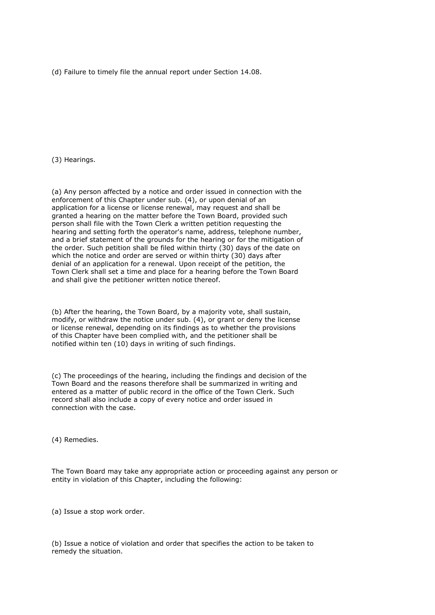(d) Failure to timely file the annual report under Section 14.08.

(3) Hearings.

(a) Any person affected by a notice and order issued in connection with the enforcement of this Chapter under sub. (4), or upon denial of an application for a license or license renewal, may request and shall be granted a hearing on the matter before the Town Board, provided such person shall file with the Town Clerk a written petition requesting the hearing and setting forth the operator's name, address, telephone number, and a brief statement of the grounds for the hearing or for the mitigation of the order. Such petition shall be filed within thirty (30) days of the date on which the notice and order are served or within thirty (30) days after denial of an application for a renewal. Upon receipt of the petition, the Town Clerk shall set a time and place for a hearing before the Town Board and shall give the petitioner written notice thereof.

(b) After the hearing, the Town Board, by a majority vote, shall sustain, modify, or withdraw the notice under sub. (4), or grant or deny the license or license renewal, depending on its findings as to whether the provisions of this Chapter have been complied with, and the petitioner shall be notified within ten (10) days in writing of such findings.

(c) The proceedings of the hearing, including the findings and decision of the Town Board and the reasons therefore shall be summarized in writing and entered as a matter of public record in the office of the Town Clerk. Such record shall also include a copy of every notice and order issued in connection with the case.

(4) Remedies.

The Town Board may take any appropriate action or proceeding against any person or entity in violation of this Chapter, including the following:

(a) Issue a stop work order.

(b) Issue a notice of violation and order that specifies the action to be taken to remedy the situation.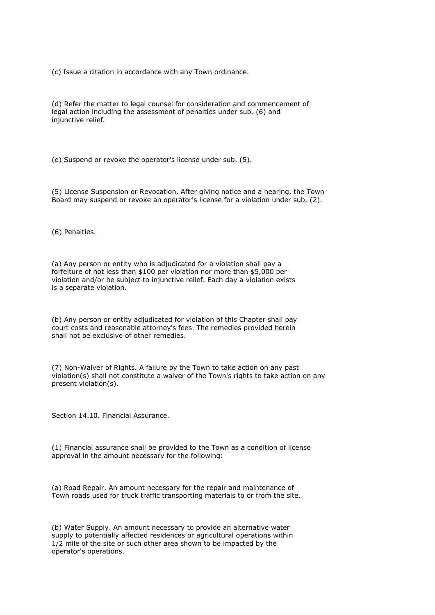(c) Issue a citation in accordance with any Town ordinance.

(d) Refer the matter to legal counsel for consideration and commencement of legal action including the assessment of penalties under sub. (6) and injunctive relief.

(e) Suspend or revoke the operator's license under sub. (5).

(5) License Suspension or Revocation. After giving notice and a hearing, the Town Board may suspend or revoke an operator's license for a violation under sub. (2).

(6) Penalties.

(a) Any person or entity who is adjudicated for a violation shall pay a forfeiture of not less than \$100 per violation nor more than \$5,000 per violation and/or be subject to injunctive relief. Each day a violation exists is a separate violation.

(b) Any person or entity adjudicated for violation of this Chapter shall pay court costs and reasonable attorney's fees. The remedies provided herein shall not be exclusive of other remedies.

(7) Non-Waiver of Rights. A failure by the Town to take action on any past violation(s) shall not constitute a waiver of the Town's rights to take action on any present violation(s).

Section 14.10. Financial Assurance.

(1) Financial assurance shall be provided to the Town as a condition of license approval in the amount necessary for the following:

(a) Road Repair. An amount necessary for the repair and maintenance of Town roads used for truck traffic transporting materials to or from the site.

(b) Water Supply. An amount necessary to provide an alternative water supply to potentially affected residences or agricultural operations within 1/2 mile of the site or such other area shown to be impacted by the operator's operations.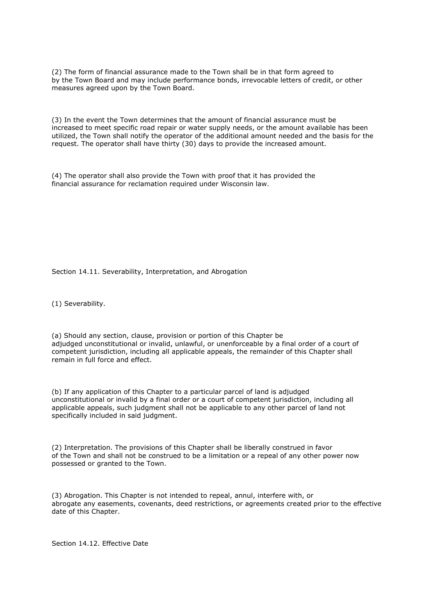(2) The form of financial assurance made to the Town shall be in that form agreed to by the Town Board and may include performance bonds, irrevocable letters of credit, or other measures agreed upon by the Town Board.

(3) In the event the Town determines that the amount of financial assurance must be increased to meet specific road repair or water supply needs, or the amount available has been utilized, the Town shall notify the operator of the additional amount needed and the basis for the request. The operator shall have thirty (30) days to provide the increased amount.

(4) The operator shall also provide the Town with proof that it has provided the financial assurance for reclamation required under Wisconsin law.

Section 14.11. Severability, Interpretation, and Abrogation

(1) Severability.

(a) Should any section, clause, provision or portion of this Chapter be adjudged unconstitutional or invalid, unlawful, or unenforceable by a final order of a court of competent jurisdiction, including all applicable appeals, the remainder of this Chapter shall remain in full force and effect.

(b) If any application of this Chapter to a particular parcel of land is adjudged unconstitutional or invalid by a final order or a court of competent jurisdiction, including all applicable appeals, such judgment shall not be applicable to any other parcel of land not specifically included in said judgment.

(2) Interpretation. The provisions of this Chapter shall be liberally construed in favor of the Town and shall not be construed to be a limitation or a repeal of any other power now possessed or granted to the Town.

(3) Abrogation. This Chapter is not intended to repeal, annul, interfere with, or abrogate any easements, covenants, deed restrictions, or agreements created prior to the effective date of this Chapter.

Section 14.12. Effective Date